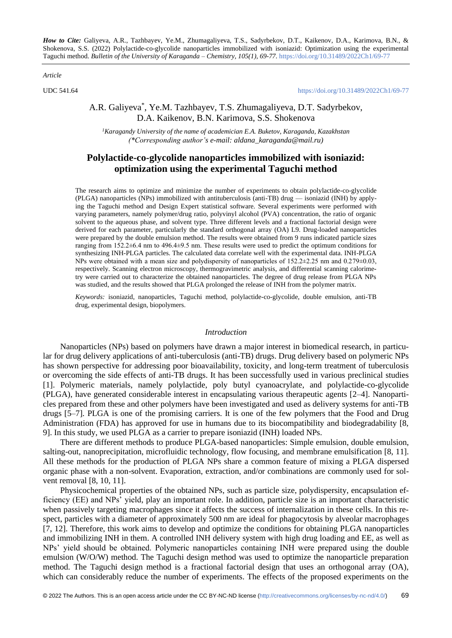*Article*

UDC 541.64 <https://doi.org/10.31489/2022Ch1/69-77>

# A.R. Galiyeva\* , Ye.M. Tazhbayev, T.S. Zhumagaliyeva, D.T. Sadyrbekov, D.A. Kaikenov, B.N. Karimova, S.S. Shokenova

*<sup>1</sup>Karagandy University of the name of academician E.A. Buketov, Karaganda, Kazakhstan (\*Corresponding author's e-mail: aldana\_karaganda@mail.ru)*

# **Polylactide-co-glycolide nanoparticles immobilized with isoniazid: optimization using the experimental Taguchi method**

The research aims to optimize and minimize the number of experiments to obtain polylactide-co-glycolide (PLGA) nanoparticles (NPs) immobilized with antituberculosis (anti-TB) drug — isoniazid (INH) by applying the Taguchi method and Design Expert statistical software. Several experiments were performed with varying parameters, namely polymer/drug ratio, polyvinyl alcohol (PVA) concentration, the ratio of organic solvent to the aqueous phase, and solvent type. Three different levels and a fractional factorial design were derived for each parameter, particularly the standard orthogonal array (OA) L9. Drug-loaded nanoparticles were prepared by the double emulsion method. The results were obtained from 9 runs indicated particle sizes ranging from 152.2±6.4 nm to 496.4±9.5 nm. These results were used to predict the optimum conditions for synthesizing INH-PLGA particles. The calculated data correlate well with the experimental data. INH-PLGA NPs were obtained with a mean size and polydispersity of nanoparticles of 152.2±2.25 nm and 0.279±0.03, respectively. Scanning electron microscopy, thermogravimetric analysis, and differential scanning calorimetry were carried out to characterize the obtained nanoparticles. The degree of drug release from PLGA NPs was studied, and the results showed that PLGA prolonged the release of INH from the polymer matrix.

*Keywords:* isoniazid, nanoparticles, Taguchi method, polylactide-co-glycolide, double emulsion, anti-TB drug, experimental design, biopolymers.

### *Introduction*

Nanoparticles (NPs) based on polymers have drawn a major interest in biomedical research, in particular for drug delivery applications of anti-tuberculosis (anti-TB) drugs. Drug delivery based on polymeric NPs has shown perspective for addressing poor bioavailability, toxicity, and long-term treatment of tuberculosis or overcoming the side effects of anti-TB drugs. It has been successfully used in various preclinical studies [1]. Polymeric materials, namely polylactide, poly butyl cyanoacrylate, and polylactide-co-glycolide (PLGA), have generated considerable interest in encapsulating various therapeutic agents [2–4]. Nanoparticles prepared from these and other polymers have been investigated and used as delivery systems for anti-TB drugs [5–7]. PLGA is one of the promising carriers. It is one of the few polymers that the Food and Drug Administration (FDA) has approved for use in humans due to its biocompatibility and biodegradability [8, 9]. In this study, we used PLGA as a carrier to prepare isoniazid (INH) loaded NPs.

There are different methods to produce PLGA-based nanoparticles: Simple emulsion, double emulsion, salting-out, nanoprecipitation, microfluidic technology, flow focusing, and membrane emulsification [8, 11]. All these methods for the production of PLGA NPs share a common feature of mixing a PLGA dispersed organic phase with a non-solvent. Evaporation, extraction, and/or combinations are commonly used for solvent removal [8, 10, 11].

Physicochemical properties of the obtained NPs, such as particle size, polydispersity, encapsulation efficiency (EE) and NPs' yield, play an important role. In addition, particle size is an important characteristic when passively targeting macrophages since it affects the success of internalization in these cells. In this respect, particles with a diameter of approximately 500 nm are ideal for phagocytosis by alveolar macrophages [7, 12]. Therefore, this work aims to develop and optimize the conditions for obtaining PLGA nanoparticles and immobilizing INH in them. A controlled INH delivery system with high drug loading and EE, as well as NPs' yield should be obtained. Polymeric nanoparticles containing INH were prepared using the double emulsion (W/O/W) method. The Taguchi design method was used to optimize the nanoparticle preparation method. The Taguchi design method is a fractional factorial design that uses an orthogonal array (OA), which can considerably reduce the number of experiments. The effects of the proposed experiments on the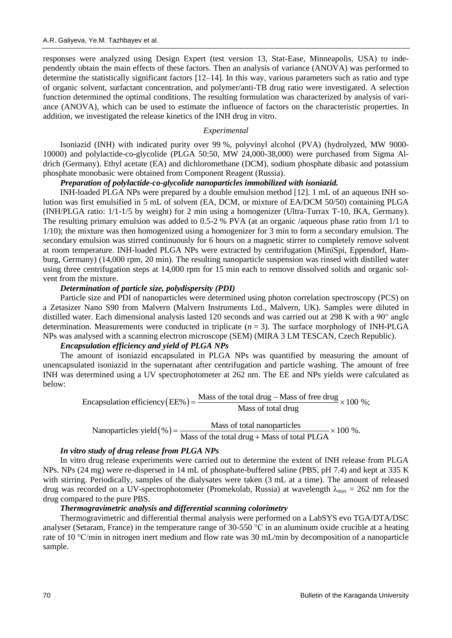responses were analyzed using Design Expert (test version 13, Stat-Ease, Minneapolis, USA) to independently obtain the main effects of these factors. Then an analysis of variance (ANOVA) was performed to determine the statistically significant factors [12–14]. In this way, various parameters such as ratio and type of organic solvent, surfactant concentration, and polymer/anti-TB drug ratio were investigated. A selection function determined the optimal conditions. The resulting formulation was characterized by analysis of variance (ANOVA), which can be used to estimate the influence of factors on the characteristic properties. In addition, we investigated the release kinetics of the INH drug in vitro.

## *Experimental*

Isoniazid (INH) with indicated purity over 99 %, polyvinyl alcohol (PVA) (hydrolyzed, MW 9000- 10000) and polylactide-co-glycolide (PLGA 50:50, MW 24,000-38,000) were purchased from Sigma Aldrich (Germany). Ethyl acetate (EA) and dichloromethane (DCM), sodium phosphate dibasic and potassium phosphate monobasic were obtained from Component Reagent (Russia).

## *Preparation of polylactide-co-glycolide nanoparticles immobilized with isoniazid.*

INH-loaded PLGA NPs were prepared by a double emulsion method [12]. 1 mL of an aqueous INH solution was first emulsified in 5 mL of solvent (EA, DCM, or mixture of EA/DCM 50/50) containing PLGA (INH/PLGA ratio: 1/1-1/5 by weight) for 2 min using a homogenizer (Ultra-Turrax T-10, IKA, Germany). The resulting primary emulsion was added to 0.5-2 % PVA (at an organic /aqueous phase ratio from 1/1 to 1/10); the mixture was then homogenized using a homogenizer for 3 min to form a secondary emulsion. The secondary emulsion was stirred continuously for 6 hours on a magnetic stirrer to completely remove solvent at room temperature. INH-loaded PLGA NPs were extracted by centrifugation (MiniSpi, Eppendorf, Hamburg, Germany) (14,000 rpm, 20 min). The resulting nanoparticle suspension was rinsed with distilled water using three centrifugation steps at 14,000 rpm for 15 min each to remove dissolved solids and organic solvent from the mixture.

### *Determination of particle size, polydispersity (PDI)*

Particle size and PDI of nanoparticles were determined using photon correlation spectroscopy (PCS) on a Zetasizer Nano S90 from Malvern (Malvern Instruments Ltd., Malvern, UK). Samples were diluted in distilled water. Each dimensional analysis lasted 120 seconds and was carried out at 298 K with a 90° angle determination. Measurements were conducted in triplicate  $(n = 3)$ . The surface morphology of INH-PLGA NPs was analysed with a scanning electron microscope (SEM) (MIRA 3 LM TESCAN, Czech Republic).

## *Encapsulation efficiency and yield of PLGA NPs*

The amount of isoniazid encapsulated in PLGA NPs was quantified by measuring the amount of unencapsulated isoniazid in the supernatant after centrifugation and particle washing. The amount of free INH was determined using a UV spectrophotometer at 262 nm. The EE and NPs yields were calculated as below:<br>
Encapsulation efficiency (EE%) =  $\frac{\text{Mass of the total drug} - \text{Mass of free drug}}{\text{Mass of total drug}} \times 100 \text{ %};$ below:

Encapsulation efficiency (EE%) = 
$$
\frac{\text{Mass of the total drug} - \text{Mass of free drug}}{\text{Mass of total drug}} \times 100 \text{ %};
$$
  
Nanoparticles yield (%) =  $\frac{\text{Mass of total anaparticles}}{\text{Mass of the total drug} + \text{Mass of total PLGA}} \times 100 \text{ %}.$ 

 $(\%)$ Mass of total drug<br>Mass of total nanoparticles<br>Mass of the total drug + Mass of total PLGA

## *In vitro study of drug release from PLGA NPs*

In vitro drug release experiments were carried out to determine the extent of INH release from PLGA NPs. NPs (24 mg) were re-dispersed in 14 mL of phosphate-buffered saline (PBS, pH 7.4) and kept at 335 K with stirring. Periodically, samples of the dialysates were taken (3 mL at a time). The amount of released drug was recorded on a UV-spectrophotometer (Promekolab, Russia) at wavelength  $\lambda_{\text{max}} = 262$  nm for the drug compared to the pure PBS.

## *Thermogravimetric analysis and differential scanning colorimetry*

Thermogravimetric and differential thermal analysis were performed on a LabSYS evo TGA/DTA/DSC analyser (Setaram, France) in the temperature range of 30-550 °C in an aluminum oxide crucible at a heating rate of 10 °C/min in nitrogen inert medium and flow rate was 30 mL/min by decomposition of a nanoparticle sample.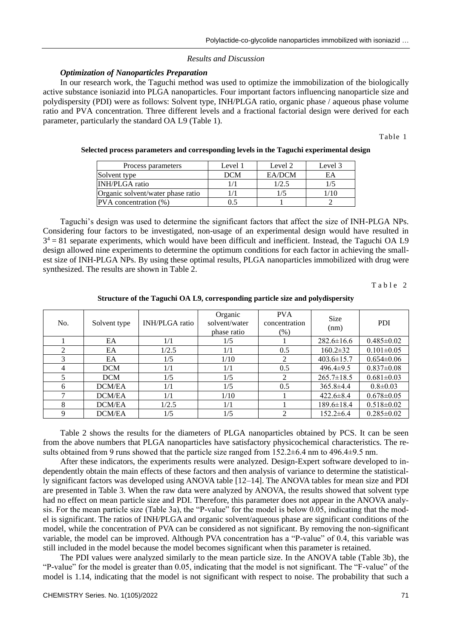### *Results and Discussion*

## *Optimization of Nanoparticles Preparation*

In our research work, the Taguchi method was used to optimize the immobilization of the biologically active substance isoniazid into PLGA nanoparticles. Four important factors influencing nanoparticle size and polydispersity (PDI) were as follows: Solvent type, INH/PLGA ratio, organic phase / aqueous phase volume ratio and PVA concentration. Three different levels and a fractional factorial design were derived for each parameter, particularly the standard OA L9 (Table 1).

Table 1

| Process parameters                | Level 1    | Level 2 | Level 3 |
|-----------------------------------|------------|---------|---------|
| Solvent type                      | <b>DCM</b> | EA/DCM  | ΕA      |
| <b>INH/PLGA</b> ratio             |            | 1/2.5   |         |
| Organic solvent/water phase ratio |            |         |         |
| PVA concentration (%)             |            |         |         |

#### **Selected process parameters and corresponding levels in the Taguchi experimental design**

Taguchi's design was used to determine the significant factors that affect the size of INH-PLGA NPs. Considering four factors to be investigated, non-usage of an experimental design would have resulted in  $3<sup>4</sup> = 81$  separate experiments, which would have been difficult and inefficient. Instead, the Taguchi OA L9 design allowed nine experiments to determine the optimum conditions for each factor in achieving the smallest size of INH-PLGA NPs. By using these optimal results, PLGA nanoparticles immobilized with drug were synthesized. The results are shown in Table 2.

Table 2

| No. | Solvent type  | INH/PLGA ratio | Organic<br>solvent/water<br>phase ratio | <b>PVA</b><br>concentration<br>$(\%)$ | <b>Size</b><br>(nm) | <b>PDI</b>       |
|-----|---------------|----------------|-----------------------------------------|---------------------------------------|---------------------|------------------|
|     | EA            | 1/1            | 1/5                                     |                                       | $282.6 \pm 16.6$    | $0.485 \pm 0.02$ |
| 2   | EA            | 1/2.5          | 1/1                                     | 0.5                                   | $160.2 \pm 32$      | $0.101 \pm 0.05$ |
| 3   | EA            | 1/5            | 1/10                                    | 2                                     | $403.6 \pm 15.7$    | $0.654 \pm 0.06$ |
| 4   | <b>DCM</b>    | 1/1            | 1/1                                     | 0.5                                   | 496.4 $\pm$ 9.5     | $0.837 \pm 0.08$ |
| 5   | <b>DCM</b>    | 1/5            | 1/5                                     | 2                                     | $265.7 \pm 18.5$    | $0.681 \pm 0.03$ |
| 6   | DCM/EA        | 1/1            | 1/5                                     | 0.5                                   | $365.8 \pm 4.4$     | $0.8 \pm 0.03$   |
| 7   | DCM/EA        | 1/1            | 1/10                                    |                                       | $422.6 \pm 8.4$     | $0.678 \pm 0.05$ |
| 8   | DCM/EA        | 1/2.5          | 1/1                                     |                                       | $189.6 \pm 18.4$    | $0.518 \pm 0.02$ |
| 9   | <b>DCM/EA</b> | 1/5            | 1/5                                     | 2                                     | $152.2 \pm 6.4$     | $0.285 \pm 0.02$ |

**Structure of the Taguchi OA L9, corresponding particle size and polydispersity**

Table 2 shows the results for the diameters of PLGA nanoparticles obtained by PCS. It can be seen from the above numbers that PLGA nanoparticles have satisfactory physicochemical characteristics. The results obtained from 9 runs showed that the particle size ranged from 152.2 $\pm$ 6.4 nm to 496.4 $\pm$ 9.5 nm.

After these indicators, the experiments results were analyzed. Design-Expert software developed to independently obtain the main effects of these factors and then analysis of variance to determine the statistically significant factors was developed using ANOVA table [12–14]. The ANOVA tables for mean size and PDI are presented in Table 3. When the raw data were analyzed by ANOVA, the results showed that solvent type had no effect on mean particle size and PDI. Therefore, this parameter does not appear in the ANOVA analysis. For the mean particle size (Table 3a), the "P-value" for the model is below 0.05, indicating that the model is significant. The ratios of INH/PLGA and organic solvent/aqueous phase are significant conditions of the model, while the concentration of PVA can be considered as not significant. By removing the non-significant variable, the model can be improved. Although PVA concentration has a "P-value" of 0.4, this variable was still included in the model because the model becomes significant when this parameter is retained.

The PDI values were analyzed similarly to the mean particle size. In the ANOVA table (Table 3b), the "P-value" for the model is greater than 0.05, indicating that the model is not significant. The "F-value" of the model is 1.14, indicating that the model is not significant with respect to noise. The probability that such a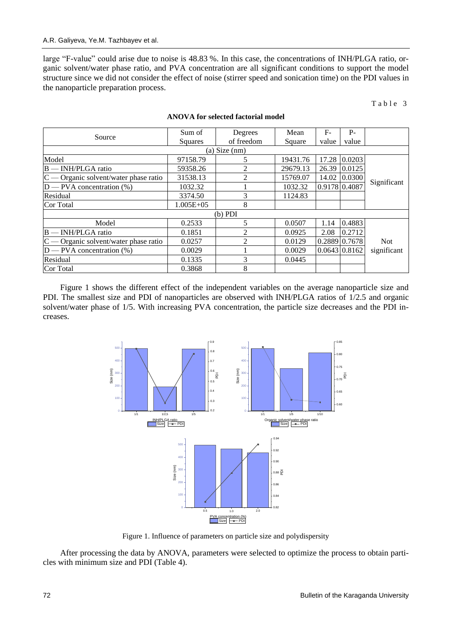large "F-value" could arise due to noise is 48.83 %. In this case, the concentrations of INH/PLGA ratio, organic solvent/water phase ratio, and PVA concentration are all significant conditions to support the model structure since we did not consider the effect of noise (stirrer speed and sonication time) on the PDI values in the nanoparticle preparation process.

Table 3

| Source                                  | Sum of        | Degrees        | Mean     | $F-$          | $P -$                |             |  |
|-----------------------------------------|---------------|----------------|----------|---------------|----------------------|-------------|--|
|                                         | Squares       | of freedom     | Square   | value         | value                |             |  |
| (a) Size $(nm)$                         |               |                |          |               |                      |             |  |
| Model                                   | 97158.79      | 5              | 19431.76 | 17.28         | 0.0203               |             |  |
| B - INH/PLGA ratio                      | 59358.26      | $\mathfrak{D}$ | 29679.13 | 26.39         | 0.0125               |             |  |
| $C$ — Organic solvent/water phase ratio | 31538.13      | $\mathfrak{D}$ | 15769.07 | 14.02         | 0.0300               |             |  |
| $D$ — PVA concentration $(\%)$          | 1032.32       |                | 1032.32  | 0.9178 0.4087 |                      | Significant |  |
| Residual                                | 3374.50       | 3              | 1124.83  |               |                      |             |  |
| Cor Total                               | $1.005E + 05$ | 8              |          |               |                      |             |  |
| $(b)$ PDI                               |               |                |          |               |                      |             |  |
| Model                                   | 0.2533        | 5              | 0.0507   | 1.14          | 0.4883               |             |  |
| $B$ — INH/PLGA ratio                    | 0.1851        |                | 0.0925   | 2.08          | 0.2712               |             |  |
| $C$ — Organic solvent/water phase ratio | 0.0257        | $\mathfrak{D}$ | 0.0129   |               | $0.2889 \mid 0.7678$ | <b>Not</b>  |  |
| $D$ — PVA concentration $(\%)$          | 0.0029        |                | 0.0029   |               | $0.0643 \mid 0.8162$ | significant |  |
| Residual                                | 0.1335        | 3              | 0.0445   |               |                      |             |  |
| Cor Total                               | 0.3868        | 8              |          |               |                      |             |  |

#### **ANOVA for selected factorial model**

Figure 1 shows the different effect of the independent variables on the average nanoparticle size and PDI. The smallest size and PDI of nanoparticles are observed with INH/PLGA ratios of 1/2.5 and organic solvent/water phase of 1/5. With increasing PVA concentration, the particle size decreases and the PDI increases.



Figure 1. Influence of parameters on particle size and polydispersity

After processing the data by ANOVA, parameters were selected to optimize the process to obtain particles with minimum size and PDI (Table 4).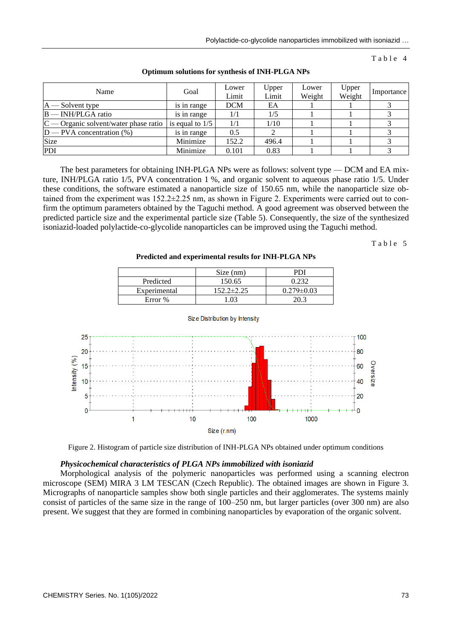### Table 4

| Name                                    | Goal              | Lower<br>Limit | Upper<br>Limit | Lower<br>Weight | Upper<br>Weight | Importance |
|-----------------------------------------|-------------------|----------------|----------------|-----------------|-----------------|------------|
| $A$ – Solvent type                      | is in range       | <b>DCM</b>     | EA             |                 |                 |            |
| $B$ — INH/PLGA ratio                    | is in range       |                | 1/5            |                 |                 |            |
| $C$ — Organic solvent/water phase ratio | is equal to $1/5$ | 1/1            | 1/10           |                 |                 |            |
| $D$ — PVA concentration $(\%)$          | is in range       | 0.5            |                |                 |                 |            |
| Size                                    | Minimize          | 152.2          | 496.4          |                 |                 |            |
| PDI                                     | Minimize          | 0.101          | 0.83           |                 |                 |            |

#### **Optimum solutions for synthesis of INH-PLGA NPs**

The best parameters for obtaining INH-PLGA NPs were as follows: solvent type — DCM and EA mixture, INH/PLGA ratio 1/5, PVA concentration 1 %, and organic solvent to aqueous phase ratio 1/5. Under these conditions, the software estimated a nanoparticle size of 150.65 nm, while the nanoparticle size obtained from the experiment was  $152.2 \pm 2.25$  nm, as shown in Figure 2. Experiments were carried out to confirm the optimum parameters obtained by the Taguchi method. A good agreement was observed between the predicted particle size and the experimental particle size (Table 5). Consequently, the size of the synthesized isoniazid-loaded polylactide-co-glycolide nanoparticles can be improved using the Taguchi method.

Table 5

**Predicted and experimental results for INH-PLGA NPs**

|              | Size (nm)        | ורו              |
|--------------|------------------|------------------|
| Predicted    | 150.65           |                  |
| Experimental | $152.2 \pm 2.25$ | $0.279 \pm 0.03$ |
| Error %      | 0 <sup>2</sup>   | วก ว             |



Size Distribution by Intensity

Figure 2. Histogram of particle size distribution of INH-PLGA NPs obtained under optimum conditions

### *Physicochemical characteristics of PLGA NPs immobilized with isoniazid*

Morphological analysis of the polymeric nanoparticles was performed using a scanning electron microscope (SEM) MIRA 3 LM TESCAN (Czech Republic). The obtained images are shown in Figure 3. Micrographs of nanoparticle samples show both single particles and their agglomerates. The systems mainly consist of particles of the same size in the range of 100–250 nm, but larger particles (over 300 nm) are also present. We suggest that they are formed in combining nanoparticles by evaporation of the organic solvent.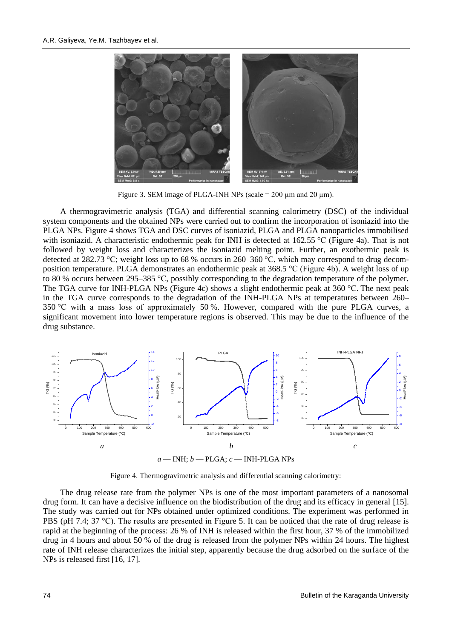

Figure 3. SEM image of PLGA-INH NPs (scale =  $200 \mu$ m and  $20 \mu$ m).

A thermogravimetric analysis (TGA) and differential scanning calorimetry (DSC) of the individual system components and the obtained NPs were carried out to confirm the incorporation of isoniazid into the PLGA NPs. Figure 4 shows TGA and DSC curves of isoniazid, PLGA and PLGA nanoparticles immobilised with isoniazid. A characteristic endothermic peak for INH is detected at 162.55 °C (Figure 4a). That is not followed by weight loss and characterizes the isoniazid melting point. Further, an exothermic peak is detected at 282.73 °C; weight loss up to 68 % occurs in 260–360 °C, which may correspond to drug decomposition temperature. PLGA demonstrates an endothermic peak at 368.5 °C (Figure 4b). A weight loss of up to 80 % occurs between 295–385 °C, possibly corresponding to the degradation temperature of the polymer. The TGA curve for INH-PLGA NPs (Figure 4c) shows a slight endothermic peak at 360 °C. The next peak in the TGA curve corresponds to the degradation of the INH-PLGA NPs at temperatures between 260– 350 °C with a mass loss of approximately 50 %. However, compared with the pure PLGA curves, a significant movement into lower temperature regions is observed. This may be due to the influence of the drug substance.



*a* — INH; *b* — PLGA; *c* — INH-PLGA NPs

Figure 4. Thermogravimetric analysis and differential scanning calorimetry:

The drug release rate from the polymer NPs is one of the most important parameters of a nanosomal drug form. It can have a decisive influence on the biodistribution of the drug and its efficacy in general [15]. The study was carried out for NPs obtained under optimized conditions. The experiment was performed in PBS (pH 7.4; 37 °C). The results are presented in Figure 5. It can be noticed that the rate of drug release is rapid at the beginning of the process: 26 % of INH is released within the first hour, 37 % of the immobilized drug in 4 hours and about 50 % of the drug is released from the polymer NPs within 24 hours. The highest rate of INH release characterizes the initial step, apparently because the drug adsorbed on the surface of the NPs is released first [16, 17].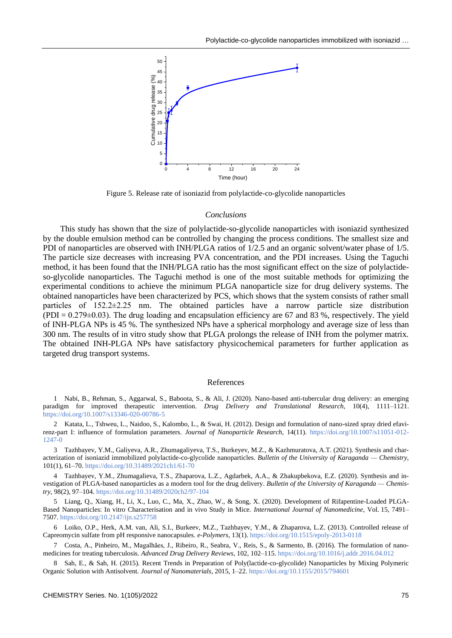

Figure 5. Release rate of isoniazid from polylactide-co-glycolide nanoparticles

#### *Conclusions*

This study has shown that the size of polylactide-so-glycolide nanoparticles with isoniazid synthesized by the double emulsion method can be controlled by changing the process conditions. The smallest size and PDI of nanoparticles are observed with INH/PLGA ratios of 1/2.5 and an organic solvent/water phase of 1/5. The particle size decreases with increasing PVA concentration, and the PDI increases. Using the Taguchi method, it has been found that the INH/PLGA ratio has the most significant effect on the size of polylactideso-glycolide nanoparticles. The Taguchi method is one of the most suitable methods for optimizing the experimental conditions to achieve the minimum PLGA nanoparticle size for drug delivery systems. The obtained nanoparticles have been characterized by PCS, which shows that the system consists of rather small particles of 152.2±2.25 nm. The obtained particles have a narrow particle size distribution  $(PDI = 0.279\pm0.03)$ . The drug loading and encapsulation efficiency are 67 and 83 %, respectively. The yield of INH-PLGA NPs is 45 %. The synthesized NPs have a spherical morphology and average size of less than 300 nm. The results of in vitro study show that PLGA prolongs the release of INH from the polymer matrix. The obtained INH-PLGA NPs have satisfactory physicochemical parameters for further application as targeted drug transport systems.

#### References

1 Nabi, B., Rehman, S., Aggarwal, S., Baboota, S., & Ali, J. (2020). Nano-based anti-tubercular drug delivery: an emerging paradigm for improved therapeutic intervention. *Drug Delivery and Translational Research,* 10(4), 1111–1121. <https://doi.org/10.1007/s13346-020-00786-5>

2 Katata, L., Tshweu, L., Naidoo, S., Kalombo, L., & Swai, H. (2012). Design and formulation of nano-sized spray dried efavirenz-part I: influence of formulation parameters. *Journal of Nanoparticle Research*, 14(11). [https://doi.org/10.1007/s11051-012-](https://doi.org/10.1007/s11051-012-1247-0) [1247-0](https://doi.org/10.1007/s11051-012-1247-0)

3 Tazhbayev, Y.M., Galiyeva, A.R., Zhumagaliyeva, T.S., Burkeyev, M.Z., & Kazhmuratova, A.T. (2021). Synthesis and characterization of isoniazid immobilized polylactide-co-glycolide nanoparticles. *Bulletin of the University of Karaganda — Chemistry*, 101(1), 61–70[. https://doi.org/10.31489/2021ch1/61-70](https://doi.org/10.31489/2021ch1/61-70)

4 Tazhbayev, Y.M., Zhumagalieva, T.S., Zhaparova, L.Z., Agdarbek, A.A., & Zhakupbekova, E.Z. (2020). Synthesis and investigation of PLGA-based nanoparticles as a modern tool for the drug delivery. *Bulletin of the University of Karaganda — Chemistry*, 98(2), 97–104[. https://doi.org/10.31489/2020ch2/97-104](https://doi.org/10.31489/2020ch2/97-104)

5 Liang, Q., Xiang, H., Li, X., Luo, C., Ma, X., Zhao, W., & Song, X. (2020). Development of Rifapentine-Loaded PLGA-Based Nanoparticles: In vitro Characterisation and in vivo Study in Mice. *International Journal of Nanomedicine*, Vol. 15, 7491– 7507[. https://doi.org/10.2147/ijn.s257758](https://doi.org/10.2147/ijn.s257758)

6 Loiko, O.P., Herk, A.M. van, Ali, S.I., Burkeev, M.Z., Tazhbayev, Y.M., & Zhaparova, L.Z. (2013). Controlled release of Capreomycin sulfate from pH responsive nanocapsules. *e-Polymers*, 13(1)[. https://doi.org/10.1515/epoly-2013-0118](https://doi.org/10.1515/epoly-2013-0118)

7 Costa, A., Pinheiro, M., Magalhães, J., Ribeiro, R., Seabra, V., Reis, S., & Sarmento, B. (2016). The formulation of nanomedicines for treating tuberculosis. *Advanced Drug Delivery Reviews*, 102, 102–115.<https://doi.org/10.1016/j.addr.2016.04.012>

8 Sah, E., & Sah, H. (2015). Recent Trends in Preparation of Poly(lactide-co-glycolide) Nanoparticles by Mixing Polymeric Organic Solution with Antisolvent. *Journal of Nanomaterials*, 2015, 1–22.<https://doi.org/10.1155/2015/794601>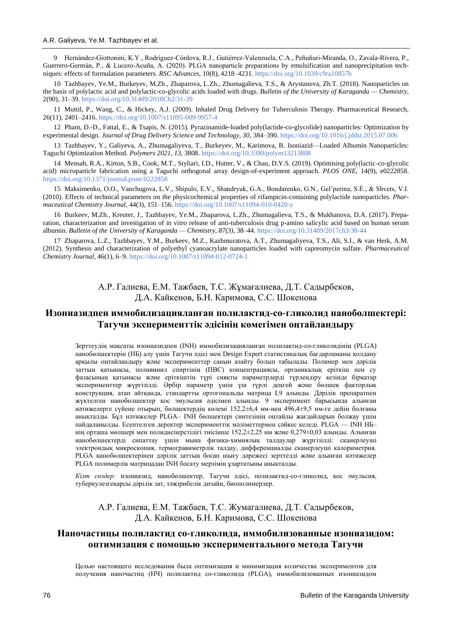9 Hernández-Giottonini, K.Y., Rodríguez-Córdova, R.J., Gutiérrez-Valenzuela, C.A., Peñuñuri-Miranda, O., Zavala-Rivera, P., Guerrero-Germán, P., & Lucero-Acuña, A. (2020). PLGA nanoparticle preparations by emulsification and nanoprecipitation techniques: effects of formulation parameters. *RSC Advances*, 10(8), 4218–4231.<https://doi.org/10.1039/c9ra10857b>

10 Tazhbayev, Ye.M., Burkeyev, M.Zh., Zhaparova, L.Zh., Zhumagalieva, T.S., & Arystanova, Zh.T. (2018). Nanoparticles on the basis of polylactic acid and polylactic-co-glycolic acids loaded with drugs. *Bulletin of the University of Karaganda — Chemistry,* 2(90), 31–39[. https://doi.org/10.31489/2018Ch2/31-39](https://doi.org/10.31489/2018Ch2/31-39)

11 Muttil, P., Wang, C., & Hickey, A.J. (2009). Inhaled Drug Delivery for Tuberculosis Therapy. Pharmaceutical Research, 26(11), 2401–2416[. https://doi.org/10.1007/s11095-009-9957-4](https://doi.org/10.1007/s11095-009-9957-4)

12 Pham, D.-D., Fattal, E., & Tsapis, N. (2015). Pyrazinamide-loaded poly(lactide-co-glycolide) nanoparticles: Optimization by experimental design. *Journal of Drug Delivery Science and Technology, 30*, 384–390[. https://doi.org/10.1016/j.jddst.2015.07.006](https://doi.org/10.1016/j.jddst.2015.07.006)

13 Tazhbayev, Y., Galiyeva, A., Zhumagaliyeva, T., Burkeyev, M., Karimova, B. Isoniazid—Loaded Albumin Nanoparticles: Taguchi Optimization Method. *Polymers 2021, 13*, 3808[. https://doi.org/10.3390/polym13213808](https://doi.org/10.3390/polym13213808)

14 Mensah, R.A., Kirton, S.B., Cook, M.T., Styliari, I.D., Hutter, V., & Chau, D.Y.S. (2019). Optimising poly(lactic-co-glycolic acid) microparticle fabrication using a Taguchi orthogonal array design-of-experiment approach. *PLOS ONE*, 14(9), e0222858. <https://doi.org/10.1371/journal.pone.0222858>

15 Maksimenko, O.O., Vanchugova, L.V., Shipulo, E.V., Shandryuk, G.A., Bondarenko, G.N., Gel'perina, S.É., & Shvets, V.I. (2010). Effects of technical parameters on the physicochemical properties of rifampicin-containing polylactide nanoparticles. *Pharmaceutical Chemistry Journal,* 44(3), 151–156[. https://doi.org/10.1007/s11094-010-0420-y](https://doi.org/10.1007/s11094-010-0420-y)

16 Burkeev, M.Zh., Kreuter, J., Tazhbayev, Ye.M., Zhaparova, L.Zh., Zhumagalieva, T.S., & Mukhanova, D.A. (2017). Preparation, characterization and investigation of in vitro release of anti-tuberculosis drug p-amino salicylic acid based on human serum albumin. *Bulletin of the University of Karaganda — Chemistry*, *87(3)*, 38–44.<https://doi.org/10.31489/2017ch3/38-44>

17 Zhaparova, L.Z., Tazhbayev, Y.M., Burkeev, M.Z., Kazhmuratova, A.T., Zhumagaliyeva, T.S., Ali, S.I., & van Herk, A.M. (2012). Synthesis and characterization of polyethyl cyanoacrylate nanoparticles loaded with capreomycin sulfate. *Pharmaceutical Chemistry Journal*, 46(1), 6–9[. https://doi.org/10.1007/s11094-012-0724-1](https://doi.org/10.1007/s11094-012-0724-1)

> А.Р. Галиева, Е.М. Тажбаев, Т.С. Жұмағалиева, Д.Т. Садырбеков, Д.А. Кайкенов, Б.Н. Каримова, С.С. Шокенова

# **Изониазидпен иммобилизацияланған полилактид-со-гликолид нанобөлшектері: Тагучи эксперименттік әдісінің көмегімен оңтайландыру**

Зерттеудің мақсаты изониазидпен (INH) иммобилизацияланған полилактид-со-гликолидінің (PLGA) нанобөлшектерін (НБ) алу үшін Тагучи әдісі мен Design Expert статистикалық бағдарламаны қолдану арқылы оңтайландыру және эксперименттер санын азайту болып табылады. Полимер мен дәрілік заттың қатынасы, поливинил спиртінің (ПВС) концентрациясы, органикалық еріткіш пен су фазасының қатынасы және еріткіштің түрі сияқты параметрлерді түрлендіру кезінде бірқатар эксперименттер жүргізілді. Әрбір параметр үшін үш түрлі деңгей және бөлшек факторлық конструкция, атап айтқанда, стандартты ортогональды матрица L9 алынды. Дәрілік препаратпен жүктелген нанобөлшектер қос эмульсия әдісімен алынды. 9 эксперимент барысында алынған нәтижелерге сүйене отырып, бөлшектердің көлемі 152,2±6,4 нм-нен 496,4±9,5 нм-ге дейін болғаны анықталды. Бұл нәтижелер PLGA– INH бөлшектері синтезінің оңтайлы жағдайларын болжау үшін пайдаланылды. Есептелген деректер эксперименттік мәліметтермен сәйкес келеді. PLGA — INH НБ– нің орташа мөлшері мен полидисперстілігі тиісінше 152,2±2,25 нм және 0,279±0,03 алынды. Алынған нанобөлшектерді сипаттау үшін мына физика-химиялық талдаулар жүргізілді: сканерлеуші электрондық микроскопия, термогравиметрлік талдау, дифференциалды сканерлеуші калориметрия. PLGA нанобөлшектерінен дәрілік заттың босап шығу дәрежесі зерттелді және алынған нәтижелер PLGA полимерлік матрицадан INH босату мерзімін ұзартатыны анықталды.

*Кілт сөздер:* изониазид, нанобөлшектер, Тагучи әдісі, полилактид-со-гликолид, қос эмульсия, туберкулезгеқарсы дәрілік зат, тәжірибелік дизайн, биополимерлер.

## А.Р. Галиева, Е.М. Тажбаев, Т.С. Жумагалиева, Д.Т. Садырбеков, Д.А. Кайкенов, Б.Н. Каримова, С.С. Шокенова

# **Наночастицы полилактид со-гликолида, иммобилизованные изониазидом: оптимизация с помощью экспериментального метода Тагучи**

Целью настоящего исследования была оптимизация и минимизация количества экспериментов для получения наночастиц (НЧ) полилактид со-гликолида (PLGA), иммобилизованных изониазидом